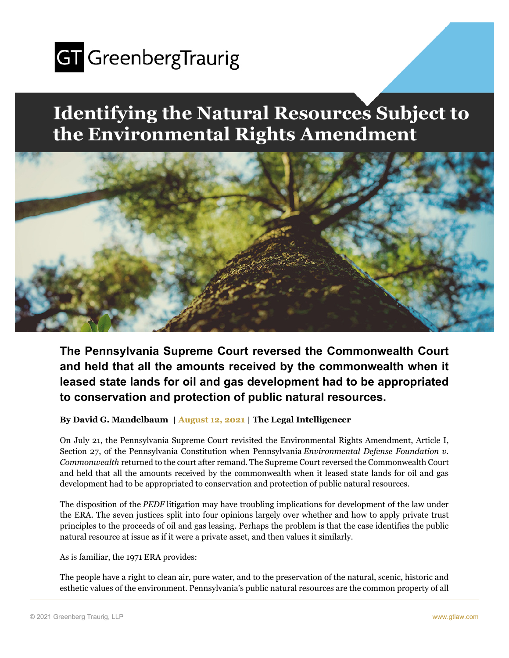

## **Identifying the Natural Resources Subject to the Environmental Rights Amendment**



**The Pennsylvania Supreme Court reversed the Commonwealth Court and held that all the amounts received by the commonwealth when it leased state lands for oil and gas development had to be appropriated to conservation and protection of public natural resources.** 

**By David G. Mandelbaum** | **August 12, 2021** | **The Legal Intelligencer** 

On July 21, the Pennsylvania Supreme Court revisited the Environmental Rights Amendment, Article I, Section 27, of the Pennsylvania Constitution when Pennsylvania *Environmental Defense Foundation v. Commonwealth* returned to the court after remand. The Supreme Court reversed the Commonwealth Court and held that all the amounts received by the commonwealth when it leased state lands for oil and gas development had to be appropriated to conservation and protection of public natural resources.

The disposition of the *PEDF* litigation may have troubling implications for development of the law under the ERA. The seven justices split into four opinions largely over whether and how to apply private trust principles to the proceeds of oil and gas leasing. Perhaps the problem is that the case identifies the public natural resource at issue as if it were a private asset, and then values it similarly.

As is familiar, the 1971 ERA provides:

The people have a right to clean air, pure water, and to the preservation of the natural, scenic, historic and esthetic values of the environment. Pennsylvania's public natural resources are the common property of all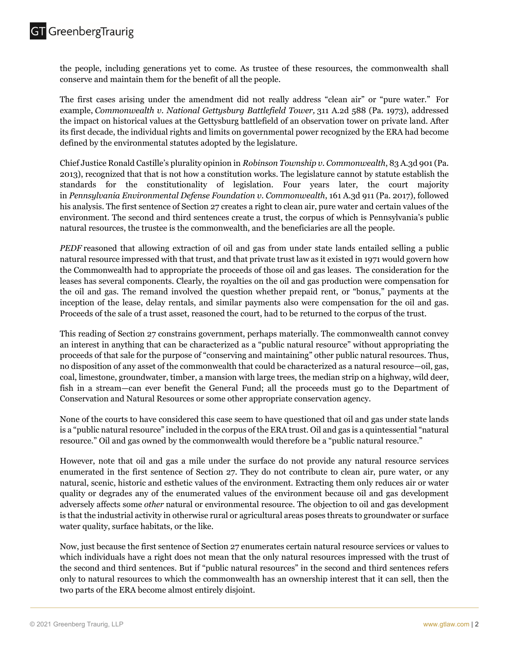the people, including generations yet to come. As trustee of these resources, the commonwealth shall conserve and maintain them for the benefit of all the people.

The first cases arising under the amendment did not really address "clean air" or "pure water." For example, *Commonwealth v. National Gettysburg Battlefield Tower,* 311 A.2d 588 (Pa. 1973), addressed the impact on historical values at the Gettysburg battlefield of an observation tower on private land. After its first decade, the individual rights and limits on governmental power recognized by the ERA had become defined by the environmental statutes adopted by the legislature.

Chief Justice Ronald Castille's plurality opinion in *Robinson Township v. Commonwealth*, 83 A.3d 901 (Pa. 2013), recognized that that is not how a constitution works. The legislature cannot by statute establish the standards for the constitutionality of legislation. Four years later, the court majority in *Pennsylvania Environmental Defense Foundation v. Commonwealth*, 161 A.3d 911 (Pa. 2017), followed his analysis. The first sentence of Section 27 creates a right to clean air, pure water and certain values of the environment. The second and third sentences create a trust, the corpus of which is Pennsylvania's public natural resources, the trustee is the commonwealth, and the beneficiaries are all the people.

*PEDF* reasoned that allowing extraction of oil and gas from under state lands entailed selling a public natural resource impressed with that trust, and that private trust law as it existed in 1971 would govern how the Commonwealth had to appropriate the proceeds of those oil and gas leases. The consideration for the leases has several components. Clearly, the royalties on the oil and gas production were compensation for the oil and gas. The remand involved the question whether prepaid rent, or "bonus," payments at the inception of the lease, delay rentals, and similar payments also were compensation for the oil and gas. Proceeds of the sale of a trust asset, reasoned the court, had to be returned to the corpus of the trust.

This reading of Section 27 constrains government, perhaps materially. The commonwealth cannot convey an interest in anything that can be characterized as a "public natural resource" without appropriating the proceeds of that sale for the purpose of "conserving and maintaining" other public natural resources. Thus, no disposition of any asset of the commonwealth that could be characterized as a natural resource—oil, gas, coal, limestone, groundwater, timber, a mansion with large trees, the median strip on a highway, wild deer, fish in a stream—can ever benefit the General Fund; all the proceeds must go to the Department of Conservation and Natural Resources or some other appropriate conservation agency.

None of the courts to have considered this case seem to have questioned that oil and gas under state lands is a "public natural resource" included in the corpus of the ERA trust. Oil and gas is a quintessential "natural resource." Oil and gas owned by the commonwealth would therefore be a "public natural resource."

However, note that oil and gas a mile under the surface do not provide any natural resource services enumerated in the first sentence of Section 27. They do not contribute to clean air, pure water, or any natural, scenic, historic and esthetic values of the environment. Extracting them only reduces air or water quality or degrades any of the enumerated values of the environment because oil and gas development adversely affects some *other* natural or environmental resource. The objection to oil and gas development is that the industrial activity in otherwise rural or agricultural areas poses threats to groundwater or surface water quality, surface habitats, or the like.

Now, just because the first sentence of Section 27 enumerates certain natural resource services or values to which individuals have a right does not mean that the only natural resources impressed with the trust of the second and third sentences. But if "public natural resources" in the second and third sentences refers only to natural resources to which the commonwealth has an ownership interest that it can sell, then the two parts of the ERA become almost entirely disjoint.